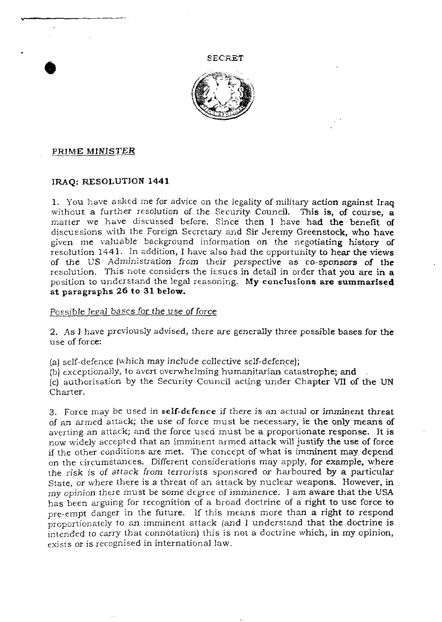



## PRIME MINISTER

## IRAQ: RESOLUTION 1441

1. You have asked me for advice on the legality of military action against Iraq without a further resolution of the Security-Council. This is, of course, a matter we have discussed before. Since then I have had the benefit of discussions with the Foreign Secretary and Sir Jeremy Greenstock, who have given me valuable background information on the negotiating history of resolution 1441. In addition, I have also had the opportunity to hear the views of the US Administration from their perspective as co-sponsors of the resolution. This note considers the issues in detail in order that you are in a position to understand the legal reasoning. My conclusions are summarised at paragraphs 26 to 31 below.

## Possible legal bases for the use of force

2. As I have previously advised, there are generally three possible bases for the use of force:

(a) self-defence (which may include collective self-defence);

(b) exceptionally, to avert overwhelming humanitarian catastrophe; and .

(c) authorisation by the Security Council acting under Chapter VII of the UN Charter.

3. Force may be used in self-defence if there is an actual or imminent threat of an armed attack; the use of force must be necessary, ie the only means of averting an attack; and the force used must be a proportionate response. It is now widely accepted that an imminent armed attack will justify the use of force if the other conditions are met. The concept of what is imminent may depend on the circumstances. Different considerations may apply, for example, where the risk is of attack from terrorists sponsored or harboured by a particular State, or where there is a threat of an attack by nuclear weapons. However, in my opinion there must be some degree of imminence. I am aware that the USA has been arguing for recognition of a broad doctrine of a right to use force to pre-empt danger in the future. If this means more than a right to respond proportionately to an imminent attack (and 1 understand that the doctrine is intended to carry that connotation) this is not a doctrine which, in my opinion, exists or is recognised in international law.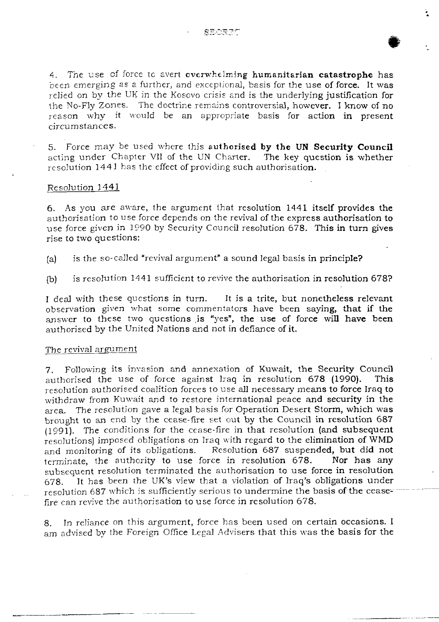

4. The use of force to avert overwhelming humanitarian catastrophe has been emerging as a further, and exceptional, basis for the use of force. It was relied on by the UK in the Kosovo crisis and is the underlying justification for the No-Fly Zones. The doctrine remains controversial, however. I know of no reason why it would be an appropriate basis for action in present circumstances.

5. Force may be used where this authorised by the UN Security Council acting under Chapter VII of the UN Charter. The key question is whether resolution 1441 has the effect of providing such authorisation.

#### Resolution 1441

6. As you are aware, the argument that resolution 1441 itself provides the authorisation to use force depends on the revival of the express authorisation to use force given in 1990 by Security Council resolution 678. This in turn gives rise to two questions:

- (a) is the so-called "revival argument" a sound legal basis in principle?
- (b) is resolution 1441 sufficient to revive the authorisation in resolution 678?

I deal with these questions in turn. It is a trite, but nonetheless relevant observation given what some commentators have been saying, that if the answer to these two questions is "yes", the use of force will have been authorised by the United Nations and not in defiance of it.

#### The revival argument

7. Following its invasion and annexation of Kuwait, the Security Council authorised the use of force against Iraq in resolution 678 (1990). This resolution authorised coalition forces to use all necessary means to force Iraq to withdraw from Kuwait and to restore international peace and security in the area. The resolution gave a legal basis for Operation Desert Storm, which was brought to an end by the cease-fire set out by the Council in resolution 687 (1991). The conditions for the cease-fire in that resolution (and subsequent resolutions) imposed obligations on Iraq with regard to the elimination of WMD<br>and monitoring of its obligations. Resolution 687 suspended, but did not Resolution 687 suspended, but did not terminate, the authority to use force in resolution 678. Nor has any subsequent resolution terminated the authorisation to use force in resolution 678. It has been the UK's view that a violation of Iraq's obligations under resolution 687 which is sufficiently serious to undermine the basis of-the-ceasefire can revive the authorisation to use force in resolution 678.

8. In reliance on this argument, force has been used on certain occasions. I am advised by the Foreign Office Legal Advisers that this was the basis for the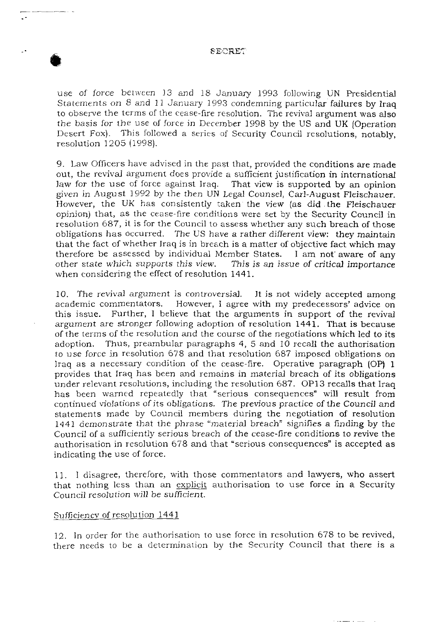SECRET



use of force between 13 and 18 January 1993 following UN Presidential Statements on 8 and 11 January 1993 condemning particular failures by Iraq to observe the terms of the cease-fire resolution. The revival argument was also the basis for the use of force in December 1998 by the US and UK (Operation Desert Fox). This followed a series of Security Council resolutions, notably, resolution 1205 (1998).

9. Law Officers have advised in the past that, provided the conditions are made out, the revival argument does provide a sufficient justification in international law for the use of force against Iraq. That view is supported by an opinion given in August 1992 by the then UN Legal Counsel, Carl-August Fleischauer. However, the UK has consistently taken the view (as did the Fleischauer opinion) that, as the cease-fire conditions were set by the Security Council in resolution 687, it is for the Council to assess whether any such breach of those obligations has occurred. The US have a rather different view: they maintain that the fact of whether Iraq is in breach is a matter of objective fact which may therefore be assessed by individual Member States. I am not aware of any other state which supports this view. This is an issue of critical importance This is an issue of critical importance. when considering the effect of resolution 1441.

10. The revival argument is controversial. It is not widely accepted among academic commentators. However, I agree with my predecessors' advice on However, I agree with my predecessors' advice on this issue. Further, I believe that the arguments in support of the revival argument are stronger following adoption of resolution 1441. That is because of the terms of the resolution and the course of the negotiations which led to its adoption. Thus, preambular paragraphs 4, 5 and 10 recall the authorisation to use force in resolution 678 and that resolution 687 imposed obligations on Iraq as a necessary condition of the cease-fire. Operative paragraph (OP) 1 provides that Iraq has been and remains in material breach of its obligations under relevant resolutions, including the resolution 687. OP13 recalls that Iraq has been warned repeatedly that "serious consequences" will result from continued violations of its obligations. The previous practice of the Council and statements made by Council members during the negotiation of resolution 1441 demonstrate that the phrase "material breach" signifies a finding by the Council of a sufficiently serious breach of the cease-fire conditions to revive the authorisation in resolution 678 and that "serious consequences" is accepted as indicating the use of force.

11. I disagree, therefore, with those commentators and lawyers, who assert that nothing less than an explicit authorisation to use force in a Security Council resolution will be sufficient.

## Sufficiency of resolution 1441

12. In order for the authorisation to use force in resolution 678 to be revived, there needs to be a determination by the Security Council that there is a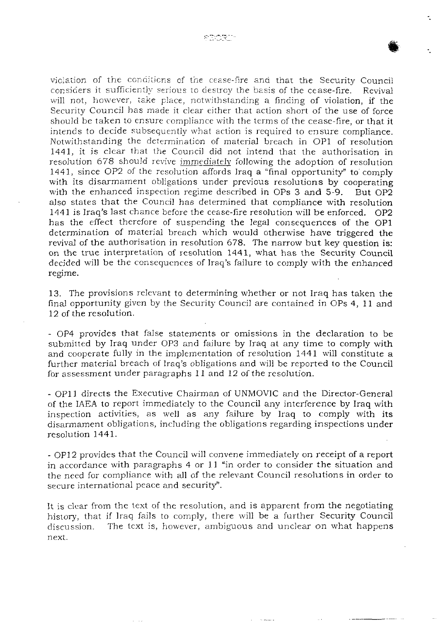violation of the conditions of the cease-fire and that the Security Council considers it sufficiently serious to destroy the basis of the cease-fire. Revival will not. however, take place, notwithstanding a finding of violation, if the Security Council has made it clear either that action short of the use of force should be taken to ensure compliance with the terms of the cease-fire, or that it intends to decide subsequently what action is required to ensure compliance. Notwithstanding the determination of material breach in OP1 of resolution 1441, it is clear that the Council did not intend that the authorisation in resolution 678 should revive immediately following the adoption of resolution 1441, since OP2 of the resolution affords Iraq a "final opportunity" to comply with its disarmament obligations under previous resolutions by cooperating with the enhanced inspection regime described in OPs 3 and 5-9. But OP2 also states that the Council has determined that compliance with resolution 1441 is Iraq's last chance before the cease-fire resolution will be enforced. OP2 has the effect therefore of suspending the legal consequences of the OP1 determination of material breach which would otherwise have triggered the revival of the authorisation in resolution 678. The narrow but key question is: on the true interpretation of resolution 1441, what has the Security Council decided will be the consequences of Iraq's failure to comply with the enhanced regime.

13. The provisions relevant to determining whether or not Iraq has taken the final opportunity given by the Security Council are contained in OPs 4, 11 and 12 of the resolution.

- OP4 provides that false statements or omissions in the declaration to be submitted by Iraq under OPS and failure by Iraq at any time to comply with and cooperate fully in the implementation of resolution 1441 will constitute a further material breach of Iraq's obligations and will be reported to the Council for assessment under paragraphs 11 and 12 of the resolution.

- OP11 directs the Executive Chairman of UNMOVIC and the Director-General of the IAEA to report immediately to the Council any interference by Iraq with inspection activities, as well as any failure by Iraq to comply with its disarmament obligations, including the obligations regarding inspections under resolution 1441.

- OP12 provides that the Council will convene immediately on receipt of a report in accordance with paragraphs 4 or 11 "in order to consider the situation and the need for compliance with all of the relevant Council resolutions in order to secure international peace and security".

It is clear from the text of the resolution, and is apparent from the negotiating history, that if Iraq fails to comply, there will be a further Security Council discussion. The text is, however, ambiguous and unclear on what happens next.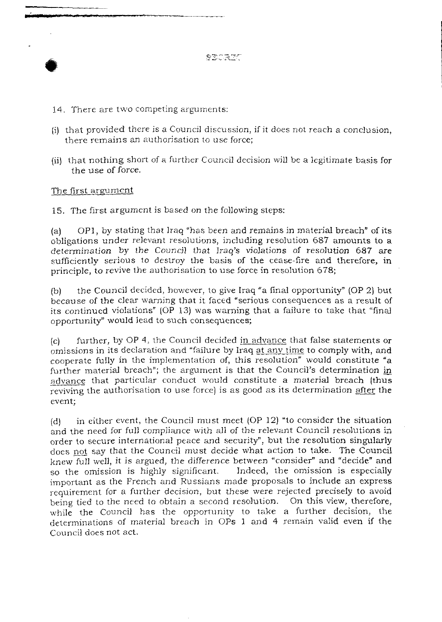

sport

- 14. There are two competing arguments:
- (i) that provided there is a Council discussion, if it does not reach a conclusion, there remains an authorisation to use force;
- (ii) that nothing short of a further Council decision will be a legitimate basis for the use of force.

## The first argument

15. The first argument is based on the following steps:

(a) OP1, by stating that Iraq "has been and remains in material breach" of its obligations under relevant resolutions, including resolution 687 amounts to a determination by the Council that Iraq's violations of resolution 687 are sufficiently serious to destroy the basis of the cease-fire and therefore, in principle, to revive the authorisation to use force in resolution 678;

(b) the Council decided, however, to give Iraq "a final opportunity" (OP 2) but because of the clear warning that it faced "serious consequences as a result of its continued violations" (OP 13) was warning that a failure to take that "final opportunity" would lead to such consequences;

 $(c)$  further, by OP 4, the Council decided in advance that false statements or omissions in its declaration and "failure by Iraq at any time to comply with, and cooperate fully in the implementation of, this resolution" would constitute "a further material breach"; the argument is that the Council's determination in advance that particular conduct would constitute a material breach (thus reviving the authorisation to use force) is as good as its determination after the event;

(d) in either event, the Council must meet (OP 12) "to consider the situation and the need for full compliance with all of the relevant Council resolutions in order to secure international peace and security'; but the resolution singularly does not say that the Council must decide what action to take. The Council knew full well, it is argued, the difference between "consider" and "decide" and so the omission is highly significant. Indeed, the omission is especially so the omission is highly significant. important as the French and Russians made proposals to include an express requirement for a further decision, but these were rejected precisely to avoid being tied to the need to obtain a second resolution. On this view, therefore, while the Council has the opportunity to take a further decision, the determinations of material breach in OPs 1 and 4 remain valid even if the Council does not act.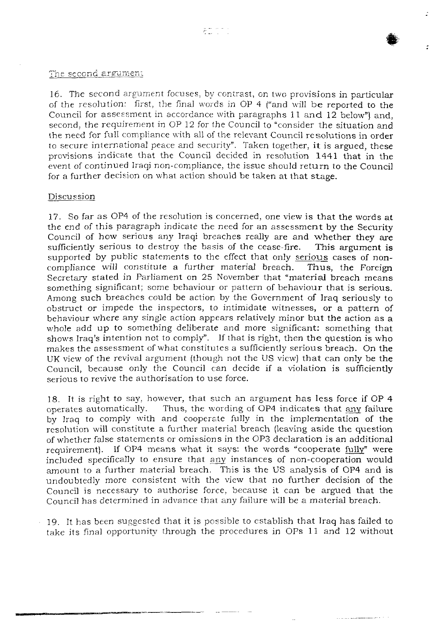

# The second argument

16. The second argument focuses, by contrast, on two provisions in particular of the resolution: first, the final words in OP 4 ("and will be reported to the Council for assessment in accordance with paragraphs 11 and 12 below") and, second, the requirement in OP 12 for the Council to "consider the situation and the need for full compliance with all of the relevant Council resolutions in order to secure international peace and security". Taken together, it is argued, these provisions indicate that the Council decided in resolution 1441 that in the event of continued Iraqi non-compliance, the issue should return to the Council for a further decision on what action should be taken at that stage.

## Discussion

17. So far as OP4 of the resolution is concerned, one view is that the words at the end of this paragraph indicate the need for an assessment by the Security Council of how serious any Iraqi breaches really are and whether they are sufficiently serious to destroy the basis of the cease-fire. This argument is supported by public statements to the effect that only serious cases of noncompliance will constitute a further material breach. Thus, the Foreign Secretary stated in Parliament on 25 November that "material breach means something significant; some behaviour or pattern of behaviour that is serious. Among such breaches could be action by the Government of Iraq seriously to obstruct or impede the inspectors, to intimidate witnesses, or a pattern of behaviour where any single action appears relatively minor but the action as a whole add up to something deliberate and more significant: something that shows Iraq's intention not to comply". If that is right, then the question is who makes the assessment of what constitutes a sufficiently serious breach. On the UK view of the revival argument (though not the US view) that can only be the Council, because only the Council can decide if a violation is sufficiently serious to revive the authorisation to use force.

18. It is right to say, however, that such an argument has less force if OP 4 operates automatically. Thus, the wording of OP4 indicates that any failure by Iraq to comply with and cooperate fully in the implementation of the resolution will constitute a further material breach (leaving aside the question of whether false statements or omissions in the OPS declaration is an additional requirement). If OP4 means what it says: the words "cooperate fully" were included specifically to ensure that any instances of non-cooperation would amount to a further material breach. This is the US analysis of OP4 and is undoubtedly more consistent with the view that no further decision of the Council is necessary to authorise force, because it can be argued that the Council has determined in advance that any failure will be a material breach.

19. It has been suggested that it is possible to establish that Iraq has failed to take its final opportunity through the procedures in OPs 11 and 12 without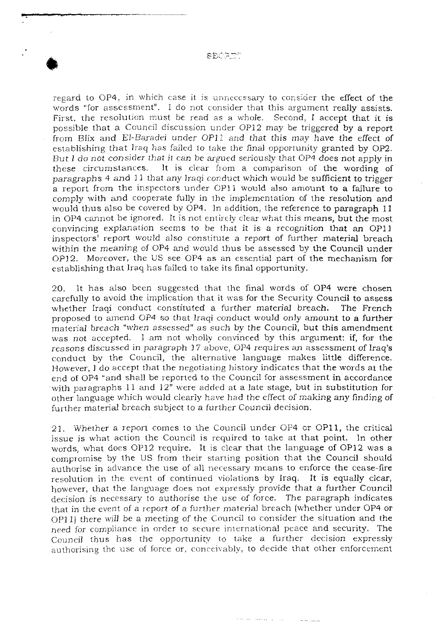SECRET

regard to OP4. in which case it is unnecessary to consider the effect of the words "for assessment", I do not consider that this argument really assists. First, the resolution must be read as a whole. Second, I accept that it is possible that a Council discussion under OP12 may be triggered by a report from Blix and El-Baradei under OP11 and that this may have the effect of establishing that Iraq has failed to lake the final opportunity granted by OP2. But 1 do not consider that it can be argued seriously that OP4 does not apply in these circumstances. It is clear from a comparison of the wording of paragraphs 4 and 11 that any Iraqi conduct which would be sufficient to trigger a report from the inspectors under OP11 would also amount to a failure to comply with and cooperate fully in the implementation of the resolution and would thus also be covered by OP4. In addition, the reference to paragraph 11 in OP4 cannot be ignored. It is net entirely clear what this means, but the most convincing explanation seems to be that it is a recognition that an OP11 inspectors' report would also constitute a report of further material breach within the meaning of OP4 and would thus be assessed by the Council under OP12. Moreover, the US see OP4 as an essential part of the mechanism for establishing that Iraq has failed to take its final opportunity.

20. It has also been suggested that the final words of OP4 were chosen carefully to avoid the implication that it was for the Security Council to assess whether Iraqi conduct constituted a further material breach. The French proposed to amend OP4 so that Iraqi conduct would only amount to a further material breach "when assessed" as such by the Council, but this amendment was not accepted. I am not wholly convinced by this argument: if, for the reasons discussed in paragraph 17 above, OP4 requires an assessment of Iraq's conduct by the Council, the alternative language makes little difference. However, I do accept that the negotiating history indicates that the words at the end of OP4 "and shall be reported to the Council for assessment in accordance with paragraphs 11 and 12" were added at a late stage, but in substitution for other language which would clearly have had the effect of making any finding of further material breach subject to a further Council decision.

21. Whether a report comes to the Council under OP4 or OP11, the critical issue is what action the Council is required to take at that point. In other words, what does OP12 require. It is clear that the language of OP12 was a compromise by the US from their starting position that the Council should authorise in advance the use of all necessary means to enforce the cease-fire resolution in the event of continued violations by Iraq. It is equally clear, however, that the language does not expressly provide that a further Council decision is necessary to authorise the use of force. The paragraph indicates that in the event of a report of a further material breach (whether under OP4 or OP11) there will be a meeting of the Council to consider the situation and the need for compliance in order to secure international peace and security. The Council thus has the opportunity to take a further decision expressly authorising the use of force or, conceivably, to decide that other enforcement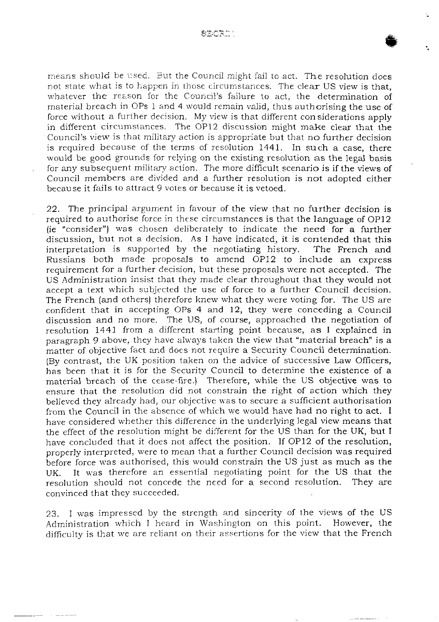means should be used. But the Council might fail to act. The resolution does not state what is to happen in those circumstances. The clear US view is that, whatever the reason for the Council's failure to act, the determination of material breach in OPs 1 and 4 would remain valid, thus authorising the use of force without a further decision. My view is that different considerations apply in different circumstances. The OP12 discussion might make clear that the Council's view is that military action is appropriate but that no further decision is required because of the terms of resolution 1441. In such a case, there would be good grounds for relying on the existing resolution as the legal basis for any subsequent military action. The more difficult scenario is if the views of Council members are divided and a further resolution is not adopted either because it fails to attract 9 votes or because it is vetoed.

22. The principal argument in favour of the view that no further decision is required to authorise force in these circumstances is that the language of OP12 (ie "consider") was chosen deliberately to indicate the need for a further discussion, but not a decision. As I have indicated, it is contended that this interpretation is supported by the negotiating history. The French and Russians both made proposals to amend OP12 to include an express requirement for a further decision, but these proposals were not accepted. The US Administration insist that they made clear throughout that they would not accept a text which subjected the use of force to a further Council decision. The French (and others) therefore knew what they were voting for. The US are confident that in accepting OPs 4 and 12, they were conceding a Council discussion and no more. The US, of course, approached the negotiation of resolution 1441 from a different starting point because, as I explained in paragraph 9 above, they have always taken the view that "material breach" is a matter of objective fact and does not require a Security Council determination. (By contrast, the UK position taken on the advice of successive Law Officers, has been that it is for the Security Council to determine the existence of a material breach of the cease-fire.) Therefore, while the US objective was to ensure that the resolution did not constrain the right of action which they believed they already had, our objective was to secure a sufficient authorisation from the Council in the absence of which we would have had no right to act. I have considered whether this difference in the underlying legal view means that the effect of the resolution might be different for the US than for the UK, but I have concluded that it does not affect the position. If OP12 of the resolution, properly interpreted, were to mean that a further Council decision was required before force was authorised, this would constrain the US just as much as the UK. It was therefore an essential negotiating point for the US that the resolution should not concede the need for a second resolution. They are convinced that they succeeded.

23. 1 was impressed by the strength and sincerity of the views of the US Administration which I heard in Washington on this point. However, the difficulty is that we are reliant on their assertions for the view that the French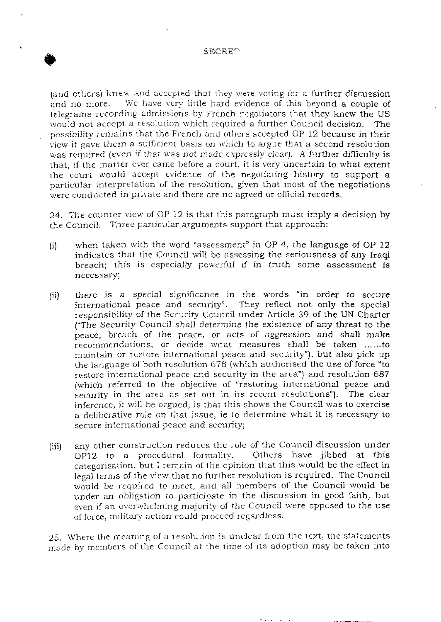(and others) knew and accepted that they were voting for a further discussion and no more. We have very little hard evidence of this beyond a couple of telegrams recording admissions by French negotiators that they knew the US would not accept a resolution which required a further Council decision. The possibility remains that the French and others accepted OP 12 because in their view it gave them a sufficient basis on which to argue that a second resolution was required (even if that was not made expressly clear). A further difficulty is that, if the matter ever came before a court, it is very uncertain to what extent the court would accept evidence of the negotiating history to support a particular interpretation of the resolution, given that most of the negotiations were conducted in private and there are no agreed or official records.

24, The counter view of OP 12 is that this paragraph must imply a decision by the Council. Three particular arguments support that approach:

- (i) when taken with the word "assessment" in OP 4, the language of OP 12 indicates that the Council will be assessing the seriousness of any Iraqi breach; this is especially powerful if in truth some assessment is necessary;
- (ii) there is a special significance in the words "in order to secure international peace and security". They reflect not only the special responsibility of the Security Council under Article 39 of the UN Charter ("The Security Council shall determine the existence of any threat to the peace, breach of the peace, or acts of aggression and shall make recommendations, or decide what measures shall be taken ......to maintain or restore international peace and security"), but also pick up the language of both resolution  $678$  (which authorised the use of force "to restore international peace and security in the area") and resolution 687 (which referred to the objective of "restoring international peace and security in the area as set out in its recent resolutions"). The clear inference, it will be argued, is that this shows the Council was to exercise a deliberative role on that issue, ie to determine what it is necessary to secure international peace and security;
- (iii) any other construction reduces the role of the Council discussion under OP12 to a procedural formality. Others have jibbed at this categorisation, but I remain of the opinion that this would be the effect in legal terms of the view that no further resolution is required. The Council would be required to meet, and all members of the Council would be under an obligation to participate in the discussion in good faith, but even if an overwhelming majority of the Council were opposed to the use of force, military action could proceed regardless.

25. Where the meaning of a resolution is unclear from the text, the statements made by members of the Council at the time of its adoption may be taken into

والمتحدث والتناسيسية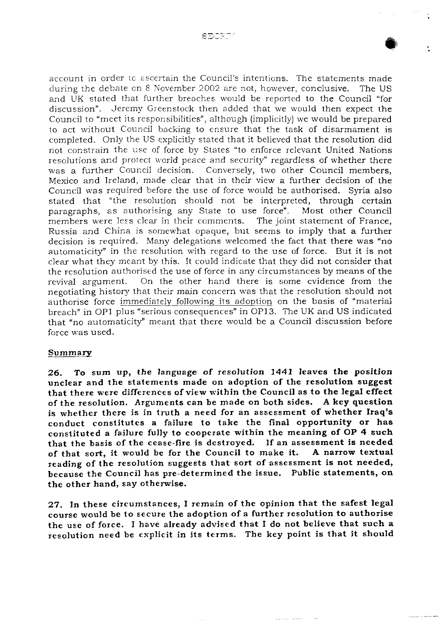account in order tc ascertain the Council's intentions. The statements made during the debate en 8 November 2002 are not, however, conclusive. The US and UK stated that further breaches would be reported to the Council "for discussion". Jeremy Greenstock then added that we would then expect the Council to "meet its responsibilities", although (implicitly) we would be prepared to act without Council backing to ensure that the task of disarmament is completed. Only the US explicitly stated that it believed that the resolution did not constrain the use of force by States "to enforce relevant United Nations resolutions and protect world peace and security" regardless of whether there was a further Council decision. Conversely, two other Council members, Mexico and Ireland, made clear that in their view a further decision of the Council was required before the use of force would be authorised. Syria also stated that "the resolution should not be interpreted, through certain paragraphs, as authorising any State to use force". Most other Council members were less clear in their comments. The joint statement of France, members were less clear in their comments. Russia and China is somewhat opaque, but seems to imply that a further decision is required. Many delegations welcomed the fact that there was "no automaticity" in the resolution with regard to the use of force. But it is not clear what they meant by this. It could indicate that they did not consider that the resolution authorised the use of force in any circumstances by means of the revival argument. On the other hand there is some evidence from the negotiating history that their main concern was that the resolution should not authorise force immediately following its adoption on the basis of "material breach" in OP1 plus "serious consequences" in OP13. The UK and US indicated that "no automaticity" meant that there would be a Council discussion before force was used.

#### Summary

26. To sum up, the language of resolution 1441 leaves the position unclear and the statements made on adoption of the resolution suggest that there were differences of view within the Council as to the legal effect of the resolution. Arguments can be made on both sides. A key question is whether there is in truth a need for an assessment of whether Iraq's conduct constitutes a failure to take the final opportunity or has constituted a failure fully to cooperate within the meaning of OP 4 such that the basis of the cease-fire is destroyed. If an assessment is needed of that sort, it would be for the Council to make it. A narrow textual reading of the resolution suggests that sort of assessment is not needed, because the Council has pre-determined the issue. Public statements, on the other hand, say otherwise.

27. In these circumstances, I remain of the opinion that the safest legal course would be to secure the adoption of a further resolution to authorise the use of force. I have already advised that I do not believe that such a resolution need be explicit in its terms. The key point is that it should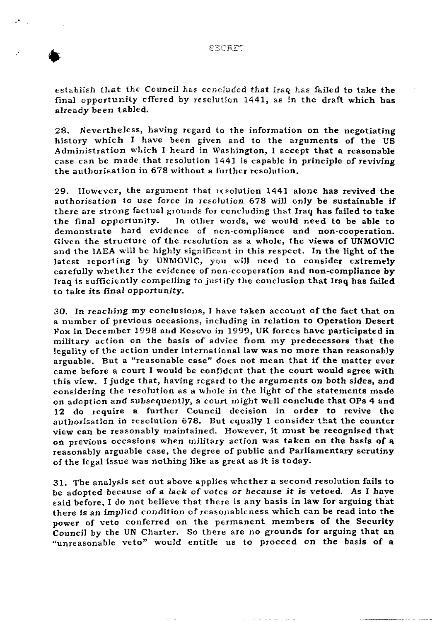

establish that the Council has concluded that Iraq has failed to take the final opportunity offered by resolution 1441, as in the draft which has already been tabled.

28. Nevertheless, having regard to the information on the negotiating history which I have been given and to the arguments of the US Administration which I heard in Washington, I accept that a reasonable case can be made that resolution 1441 is capable in principle of reviving the authorisation in 678 without a further resolution.

29. However, the argument that resolution 1441 alone has revived the authorisation to use force in resolution 678 will only be sustainable if there are strong factual grounds for concluding that Iraq has failed to take<br>the final opportunity. In other words, we would need to be able to In other words, we would need to be able to demonstrate hard evidence of non-compliance and non-cooperation. Given the structure of the resolution as a whole, the views of UNMOVIC and the IAEA will be highly significant in this respect. In the light of the latest reporting by UNMOVIC, you will need to consider extremely carefully whether the evidence of non-cooperation and non-compliance by Iraq is sufficiently compelling to justify the conclusion that Iraq has failed to take its final opportunity.

30. In reaching my conclusions, I have taken account of the fact that on a number of previous occasions, including in relation to Operation Desert Fox in December 1998 and Kosovo in 1999, UK forces have participated in military action on the basis of advice from my predecessors that the legality of the action under international law was no more than reasonably arguable. But a "reasonable case" does not mean that if the matter ever came before a court I would be confident that the court would agree with this view. I judge that, having regard to the arguments on both sides, and considering the resolution as a whole in the light of the statements made on adoption and subsequently, a court might well conclude that OPs 4 and 12 do require a further Council decision in order to revive the authorisation in resolution 678. But equally I consider that the counter view can be reasonably maintained. However, it must be recognised that on previous occasions when military action was taken on the basis of a reasonably arguable case, the degree of public and Parliamentary scrutiny of the legal issue was nothing like as great as it is today.

31. The analysis set out above applies whether a second resolution fails to be adopted because of a lack of votes or because it is vetoed. As I have said before, I do not believe that there is any basis in law for arguing that there is an implied condition of reasonableness which can be read into the power of veto conferred on the permanent members of the Security Council by the UN Charter. So there are no grounds for arguing that an "unreasonable veto" would entitle us to proceed on the basis of a

 $\mathcal{O}(\mathcal{A})$  and  $\mathcal{O}(\mathcal{A})$  and  $\mathcal{O}(\mathcal{A})$  . In the  $\mathcal{A}$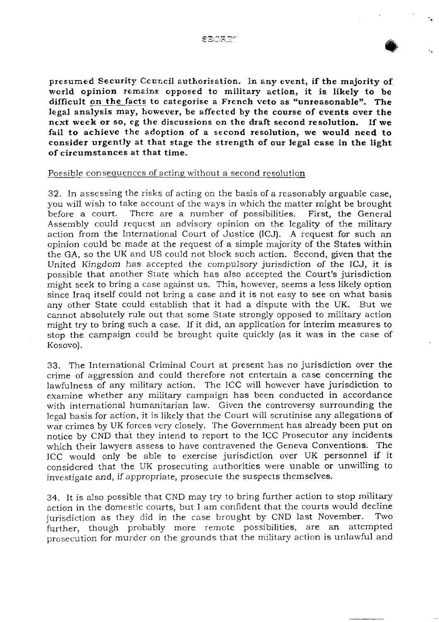

presumed Security Council authorisation. In any event, if the majority of world opinion remains opposed to military action, it is likely to be difficult on the facts to categorise a French veto as "unreasonable". The legal analysis may, however, be affected by the course of events over the next week or so, eg the discussions on the draft second resolution. If we fail to achieve the adoption of a second resolution, we would need to consider urgently at that stage the strength of our legal case in the light of circumstances at that time.

### Possible consequences of acting without a second resolution

32. In assessing the risks of acting on the basis of a reasonably arguable case, you will wish to take account of the ways in which the matter might be brought before a court. There are a number of possibilities. First, the General There are a number of possibilities. First, the General Assembly could request an advisory opinion on the legality of the military action from the International Court of Justice (ICJ). A request for such an opinion could be made at the request of a simple majority of the States within the GA, so the UK and US could not block such action. Second, given that the United Kingdom has accepted the compulsory jurisdiction of the ICJ, it is possible that another State which has also accepted the Court's jurisdiction might seek to bring a case against us. This, however, seems a less likely option since Iraq itself could not bring a case and it is not easy to see on what basis any other State could establish that it had a dispute with the UK. But we cannot absolutely rule out that some State strongly opposed to military action might try to bring such a case. If it did, an application for interim measures to stop the campaign could be brought quite quickly (as it was in the case of Kosovo).

33. The International Criminal Court at present has no jurisdiction over the crime of aggression and could therefore not entertain a case concerning the lawfulness of any military action. The ICC will however have jurisdiction to examine whether any military campaign has been conducted in accordance with international humanitarian law. Given the controversy surrounding the legaJ basis for action, it is likely that the Court will scrutinise any allegations of war crimes by UK forces very closely. The Government has already been put on notice by CND that they intend to report to the ICC Prosecutor any incidents which their lawyers assess to have contravened the Geneva Conventions. The ICC would only be able to exercise jurisdiction over UK personnel if it considered that the UK prosecuting authorities were unable or unwilling to investigate and, if appropriate, prosecute the suspects themselves.

34. It is also possible that CND may try to bring further action to stop military action in the domestic courts, but I am confident that the courts would decline jurisdiction as they did in the case brought by CND last November. Two further, though probably more remote possibilities, are an attempted prosecution for murder on the grounds that the military action is unlawful and